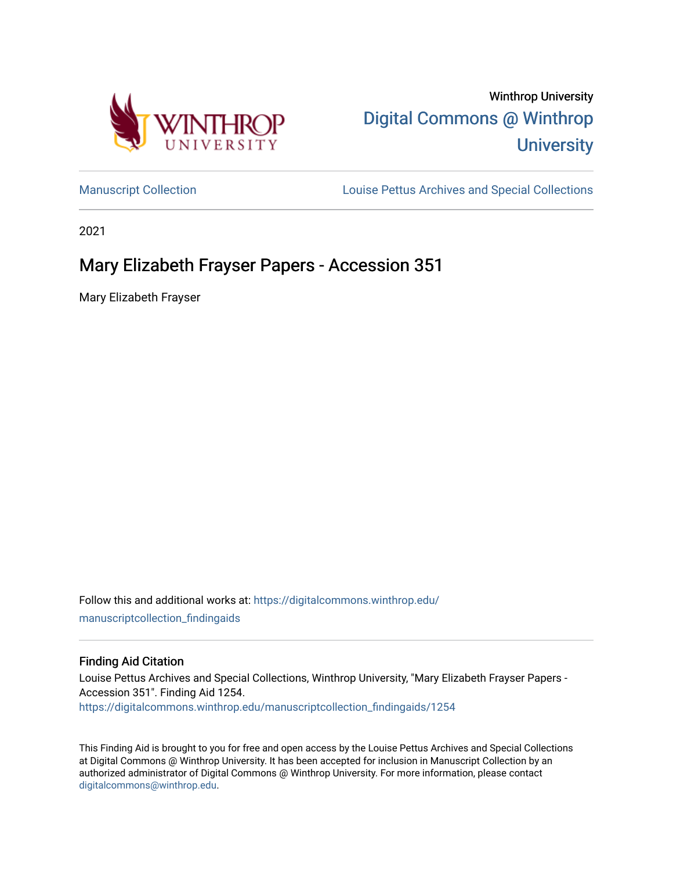

Winthrop University [Digital Commons @ Winthrop](https://digitalcommons.winthrop.edu/)  **University** 

[Manuscript Collection](https://digitalcommons.winthrop.edu/manuscriptcollection_findingaids) **Louise Pettus Archives and Special Collections** 

2021

# Mary Elizabeth Frayser Papers - Accession 351

Mary Elizabeth Frayser

Follow this and additional works at: [https://digitalcommons.winthrop.edu/](https://digitalcommons.winthrop.edu/manuscriptcollection_findingaids?utm_source=digitalcommons.winthrop.edu%2Fmanuscriptcollection_findingaids%2F1254&utm_medium=PDF&utm_campaign=PDFCoverPages) [manuscriptcollection\\_findingaids](https://digitalcommons.winthrop.edu/manuscriptcollection_findingaids?utm_source=digitalcommons.winthrop.edu%2Fmanuscriptcollection_findingaids%2F1254&utm_medium=PDF&utm_campaign=PDFCoverPages) 

#### Finding Aid Citation

Louise Pettus Archives and Special Collections, Winthrop University, "Mary Elizabeth Frayser Papers - Accession 351". Finding Aid 1254. [https://digitalcommons.winthrop.edu/manuscriptcollection\\_findingaids/1254](https://digitalcommons.winthrop.edu/manuscriptcollection_findingaids/1254?utm_source=digitalcommons.winthrop.edu%2Fmanuscriptcollection_findingaids%2F1254&utm_medium=PDF&utm_campaign=PDFCoverPages) 

This Finding Aid is brought to you for free and open access by the Louise Pettus Archives and Special Collections at Digital Commons @ Winthrop University. It has been accepted for inclusion in Manuscript Collection by an authorized administrator of Digital Commons @ Winthrop University. For more information, please contact [digitalcommons@winthrop.edu](mailto:digitalcommons@winthrop.edu).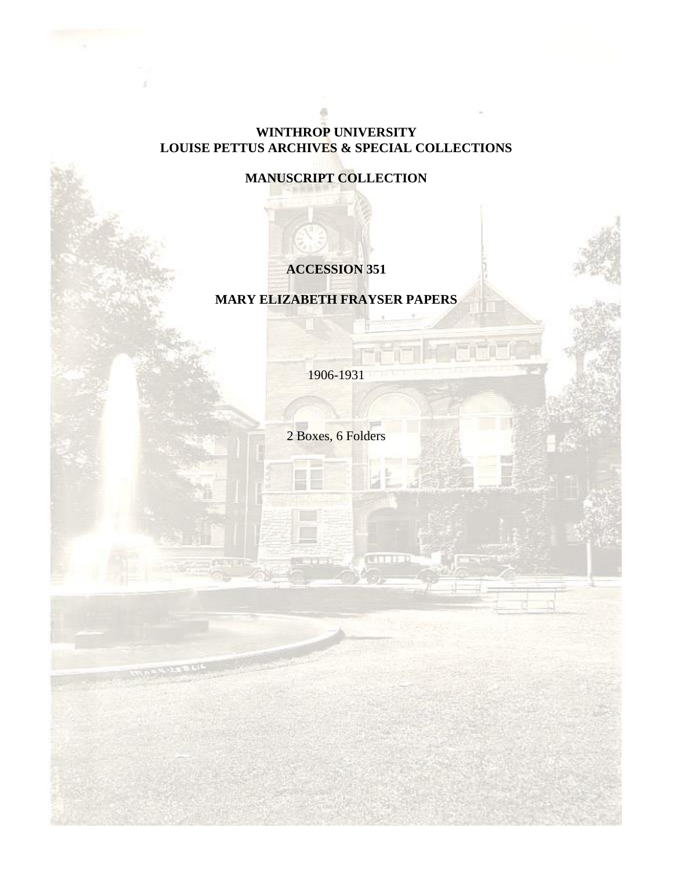### **WINTHROP UNIVERSITY LOUISE PETTUS ARCHIVES & SPECIAL COLLECTIONS**

## **MANUSCRIPT COLLECTION**

## **ACCESSION 351**

### **MARY ELIZABETH FRAYSER PAPERS**

1906-1931

2 Boxes, 6 Folders

**CONTROL**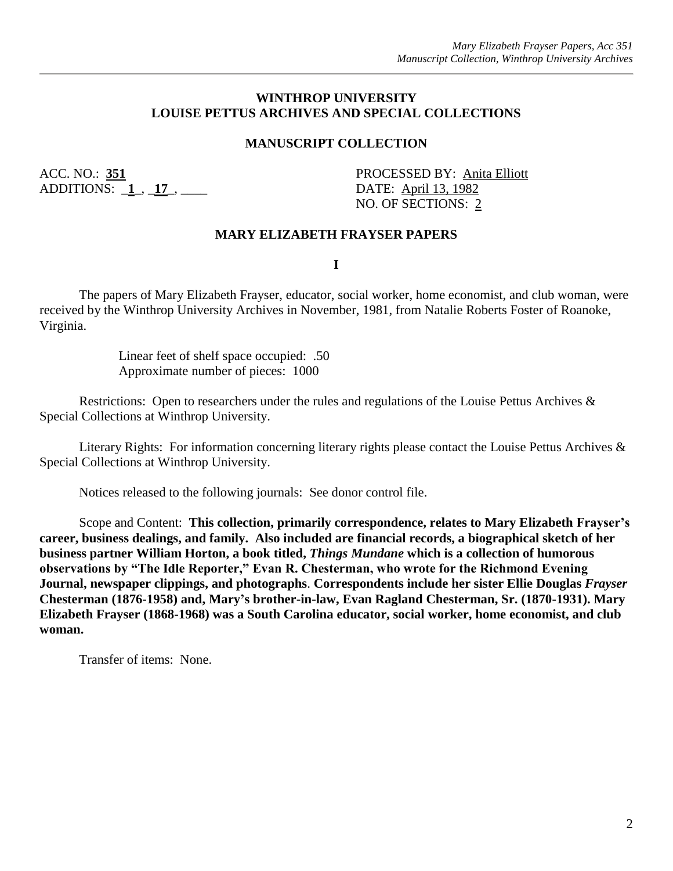#### **WINTHROP UNIVERSITY LOUISE PETTUS ARCHIVES AND SPECIAL COLLECTIONS**

#### **MANUSCRIPT COLLECTION**

ADDITIONS: \_**1**\_, \_**17**\_, \_\_\_\_ DATE: April 13, 1982

ACC. NO.: **351** PROCESSED BY: Anita Elliott NO. OF SECTIONS: 2

#### **MARY ELIZABETH FRAYSER PAPERS**

**I**

The papers of Mary Elizabeth Frayser, educator, social worker, home economist, and club woman, were received by the Winthrop University Archives in November, 1981, from Natalie Roberts Foster of Roanoke, Virginia.

> Linear feet of shelf space occupied: .50 Approximate number of pieces: 1000

Restrictions: Open to researchers under the rules and regulations of the Louise Pettus Archives & Special Collections at Winthrop University.

Literary Rights: For information concerning literary rights please contact the Louise Pettus Archives & Special Collections at Winthrop University.

Notices released to the following journals: See donor control file.

Scope and Content: **This collection, primarily correspondence, relates to Mary Elizabeth Frayser's career, business dealings, and family. Also included are financial records, a biographical sketch of her business partner William Horton, a book titled,** *Things Mundane* **which is a collection of humorous observations by "The Idle Reporter," Evan R. Chesterman, who wrote for the Richmond Evening Journal, newspaper clippings, and photographs**. **Correspondents include her sister Ellie Douglas** *Frayser* **Chesterman (1876-1958) and, Mary's brother-in-law, Evan Ragland Chesterman, Sr. (1870-1931). Mary Elizabeth Frayser (1868-1968) was a South Carolina educator, social worker, home economist, and club woman.**

Transfer of items: None.